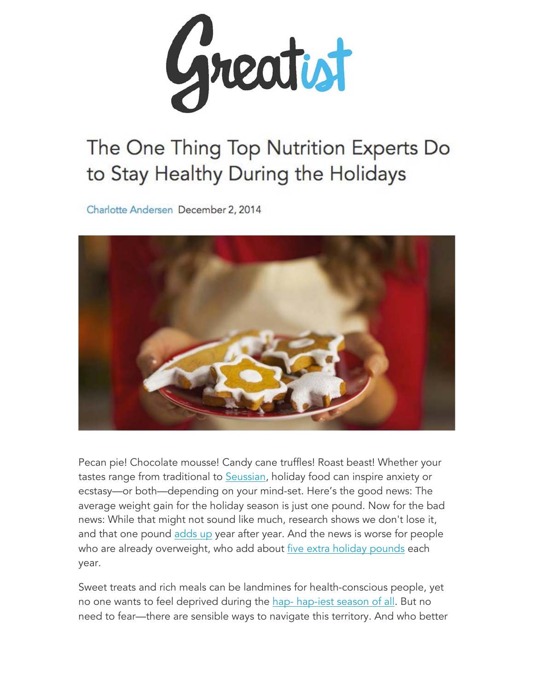

# The One Thing Top Nutrition Experts Do to Stay Healthy During the Holidays

Charlotte Andersen December 2, 2014



Pecan pie! Chocolate mousse! Candy cane truffles! Roast beast! Whether your tastes range from traditional to Seussian, holiday food can inspire anxiety or ecstasy—or both—depending on your mind-set. Here's the good news: The average weight gain for the holiday season is just one pound. Now for the bad news: While that might not sound like much, research shows we don't lose it, and that one pound adds up year after year. And the news is worse for people who are already overweight, who add about *five extra holiday pounds each* year.

Sweet treats and rich meals can be landmines for health-conscious people, yet no one wants to feel deprived during the hap-hap-iest season of all. But no need to fear—there are sensible ways to navigate this territory. And who better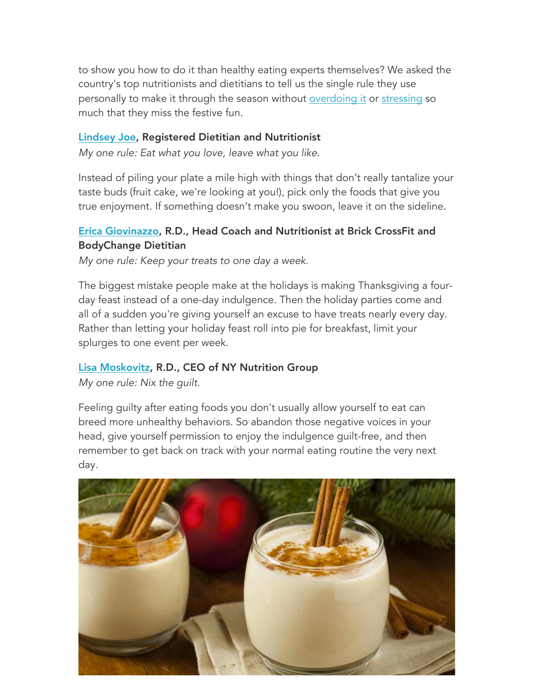to show you how to do it than healthy eating experts themselves? We asked the country's top nutritionists and dietitians to tell us the single rule they use personally to make it through the season without overdoing it or stressing so much that they miss the festive fun.

## Lindsey Joe, Registered Dietitian and Nutritionist

*My one rule: Eat what you love, leave what you like.*

Instead of piling your plate a mile high with things that don't really tantalize your taste buds (fruit cake, we're looking at you!), pick only the foods that give you true enjoyment. If something doesn't make you swoon, leave it on the sideline.

## Erica Giovinazzo, R.D., Head Coach and Nutritionist at Brick CrossFit and BodyChange Dietitian

*My one rule: Keep your treats to one day a week.*

The biggest mistake people make at the holidays is making Thanksgiving a fourday feast instead of a one-day indulgence. Then the holiday parties come and all of a sudden you're giving yourself an excuse to have treats nearly every day. Rather than letting your holiday feast roll into pie for breakfast, limit your splurges to one event per week.

## Lisa Moskovitz, R.D., CEO of NY Nutrition Group

*My one rule: Nix the guilt.*

Feeling guilty after eating foods you don't usually allow yourself to eat can breed more unhealthy behaviors. So abandon those negative voices in your head, give yourself permission to enjoy the indulgence guilt-free, and then remember to get back on track with your normal eating routine the very next day.

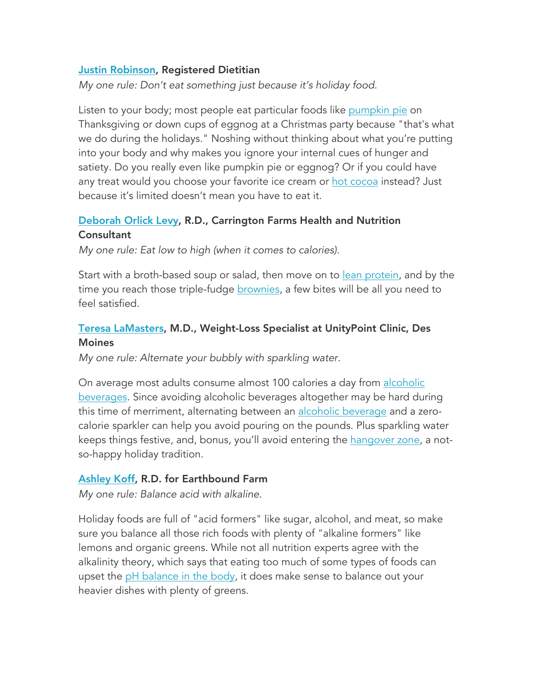## Justin Robinson, Registered Dietitian

*My one rule: Don't eat something just because it's holiday food.*

Listen to your body; most people eat particular foods like pumpkin pie on Thanksgiving or down cups of eggnog at a Christmas party because "that's what we do during the holidays." Noshing without thinking about what you're putting into your body and why makes you ignore your internal cues of hunger and satiety. Do you really even like pumpkin pie or eggnog? Or if you could have any treat would you choose your favorite ice cream or hot cocoa instead? Just because it's limited doesn't mean you have to eat it.

## Deborah Orlick Levy, R.D., Carrington Farms Health and Nutrition **Consultant**

*My one rule: Eat low to high (when it comes to calories).*

Start with a broth-based soup or salad, then move on to lean protein, and by the time you reach those triple-fudge brownies, a few bites will be all you need to feel satisfied.

## Teresa LaMasters, M.D., Weight-Loss Specialist at UnityPoint Clinic, Des **Moines**

*My one rule: Alternate your bubbly with sparkling water.* 

On average most adults consume almost 100 calories a day from alcoholic beverages. Since avoiding alcoholic beverages altogether may be hard during this time of merriment, alternating between an alcoholic beverage and a zerocalorie sparkler can help you avoid pouring on the pounds. Plus sparkling water keeps things festive, and, bonus, you'll avoid entering the hangover zone, a notso-happy holiday tradition.

## Ashley Koff, R.D. for Earthbound Farm

*My one rule: Balance acid with alkaline.*

Holiday foods are full of "acid formers" like sugar, alcohol, and meat, so make sure you balance all those rich foods with plenty of "alkaline formers" like lemons and organic greens. While not all nutrition experts agree with the alkalinity theory, which says that eating too much of some types of foods can upset the pH balance in the body, it does make sense to balance out your heavier dishes with plenty of greens.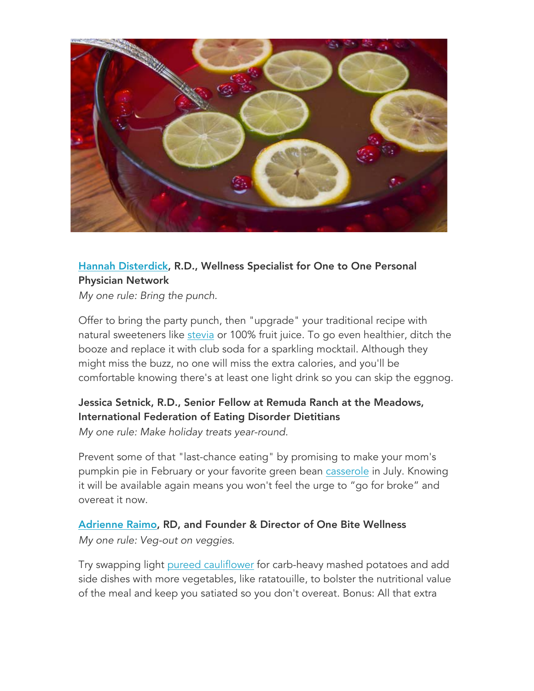

## Hannah Disterdick, R.D., Wellness Specialist for One to One Personal Physician Network

*My one rule: Bring the punch.*

Offer to bring the party punch, then "upgrade" your traditional recipe with natural sweeteners like stevia or 100% fruit juice. To go even healthier, ditch the booze and replace it with club soda for a sparkling mocktail. Although they might miss the buzz, no one will miss the extra calories, and you'll be comfortable knowing there's at least one light drink so you can skip the eggnog.

# Jessica Setnick, R.D., Senior Fellow at Remuda Ranch at the Meadows, International Federation of Eating Disorder Dietitians

*My one rule: Make holiday treats year-round.*

Prevent some of that "last-chance eating" by promising to make your mom's pumpkin pie in February or your favorite green bean casserole in July. Knowing it will be available again means you won't feel the urge to "go for broke" and overeat it now.

Adrienne Raimo, RD, and Founder & Director of One Bite Wellness *My one rule: Veg-out on veggies.*

Try swapping light pureed cauliflower for carb-heavy mashed potatoes and add side dishes with more vegetables, like ratatouille, to bolster the nutritional value of the meal and keep you satiated so you don't overeat. Bonus: All that extra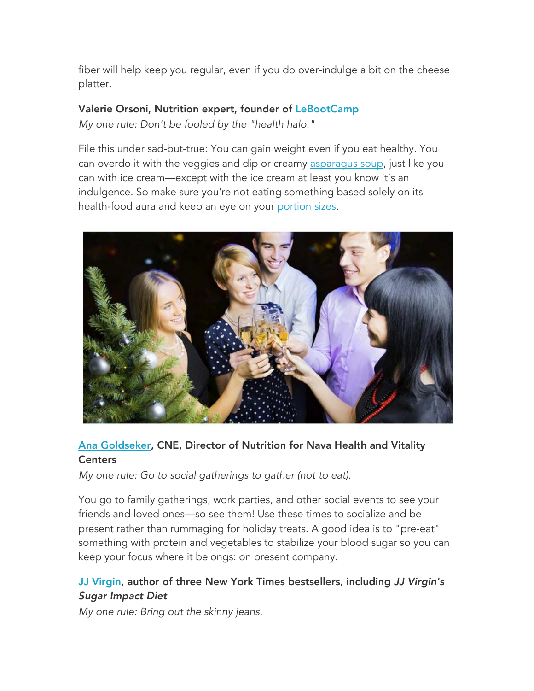fiber will help keep you regular, even if you do over-indulge a bit on the cheese platter.

## Valerie Orsoni, Nutrition expert, founder of LeBootCamp

*My one rule: Don't be fooled by the "health halo."*

File this under sad-but-true: You can gain weight even if you eat healthy. You can overdo it with the veggies and dip or creamy asparagus soup, just like you can with ice cream—except with the ice cream at least you know it's an indulgence. So make sure you're not eating something based solely on its health-food aura and keep an eye on your portion sizes.



# Ana Goldseker, CNE, Director of Nutrition for Nava Health and Vitality **Centers**

*My one rule: Go to social gatherings to gather (not to eat).*

You go to family gatherings, work parties, and other social events to see your friends and loved ones—so see them! Use these times to socialize and be present rather than rummaging for holiday treats. A good idea is to "pre-eat" something with protein and vegetables to stabilize your blood sugar so you can keep your focus where it belongs: on present company.

## JJ Virgin, author of three New York Times bestsellers, including *JJ Virgin's Sugar Impact Diet*

*My one rule: Bring out the skinny jeans.*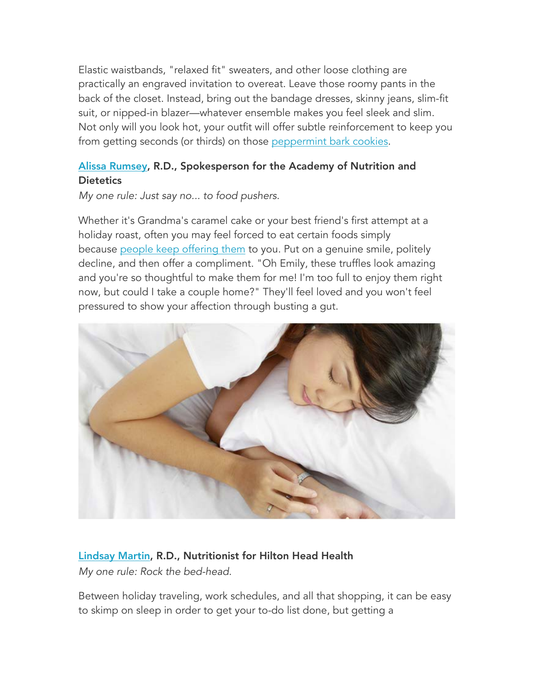Elastic waistbands, "relaxed fit" sweaters, and other loose clothing are practically an engraved invitation to overeat. Leave those roomy pants in the back of the closet. Instead, bring out the bandage dresses, skinny jeans, slim-fit suit, or nipped-in blazer—whatever ensemble makes you feel sleek and slim. Not only will you look hot, your outfit will offer subtle reinforcement to keep you from getting seconds (or thirds) on those peppermint bark cookies.

## Alissa Rumsey, R.D., Spokesperson for the Academy of Nutrition and **Dietetics**

*My one rule: Just say no... to food pushers.*

Whether it's Grandma's caramel cake or your best friend's first attempt at a holiday roast, often you may feel forced to eat certain foods simply because people keep offering them to you. Put on a genuine smile, politely decline, and then offer a compliment. "Oh Emily, these truffles look amazing and you're so thoughtful to make them for me! I'm too full to enjoy them right now, but could I take a couple home?" They'll feel loved and you won't feel pressured to show your affection through busting a gut.



# Lindsay Martin, R.D., Nutritionist for Hilton Head Health

*My one rule: Rock the bed-head.*

Between holiday traveling, work schedules, and all that shopping, it can be easy to skimp on sleep in order to get your to-do list done, but getting a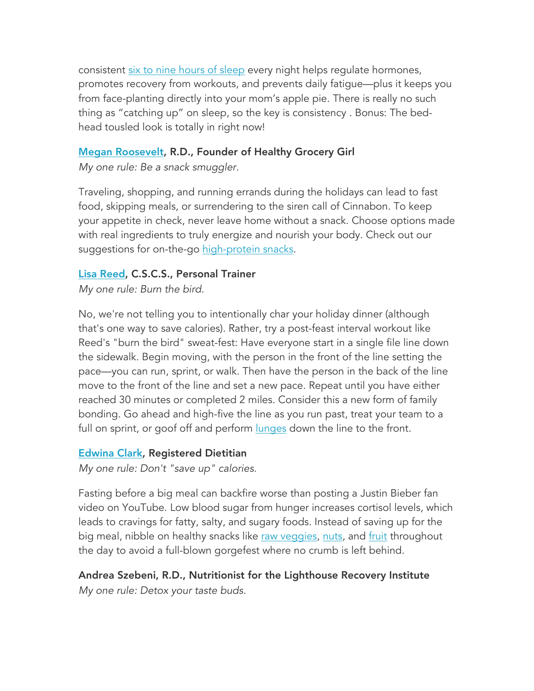consistent six to nine hours of sleep every night helps regulate hormones, promotes recovery from workouts, and prevents daily fatigue—plus it keeps you from face-planting directly into your mom's apple pie. There is really no such thing as "catching up" on sleep, so the key is consistency . Bonus: The bedhead tousled look is totally in right now!

## Megan Roosevelt, R.D., Founder of Healthy Grocery Girl

*My one rule: Be a snack smuggler.*

Traveling, shopping, and running errands during the holidays can lead to fast food, skipping meals, or surrendering to the siren call of Cinnabon. To keep your appetite in check, never leave home without a snack. Choose options made with real ingredients to truly energize and nourish your body. Check out our suggestions for on-the-go high-protein snacks.

## Lisa Reed, C.S.C.S., Personal Trainer

*My one rule: Burn the bird.*

No, we're not telling you to intentionally char your holiday dinner (although that's one way to save calories). Rather, try a post-feast interval workout like Reed's "burn the bird" sweat-fest: Have everyone start in a single file line down the sidewalk. Begin moving, with the person in the front of the line setting the pace—you can run, sprint, or walk. Then have the person in the back of the line move to the front of the line and set a new pace. Repeat until you have either reached 30 minutes or completed 2 miles. Consider this a new form of family bonding. Go ahead and high-five the line as you run past, treat your team to a full on sprint, or goof off and perform lunges down the line to the front.

## Edwina Clark, Registered Dietitian

*My one rule: Don't "save up" calories.*

Fasting before a big meal can backfire worse than posting a Justin Bieber fan video on YouTube. Low blood sugar from hunger increases cortisol levels, which leads to cravings for fatty, salty, and sugary foods. Instead of saving up for the big meal, nibble on healthy snacks like raw veggies, nuts, and fruit throughout the day to avoid a full-blown gorgefest where no crumb is left behind.

Andrea Szebeni, R.D., Nutritionist for the Lighthouse Recovery Institute *My one rule: Detox your taste buds.*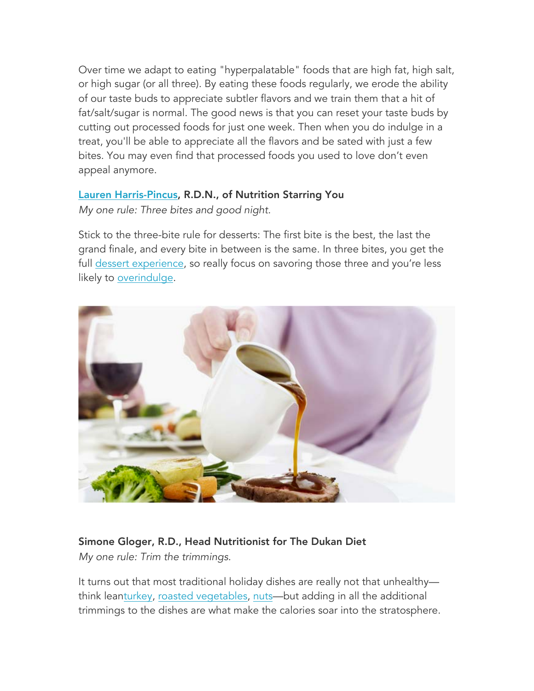Over time we adapt to eating "hyperpalatable" foods that are high fat, high salt, or high sugar (or all three). By eating these foods regularly, we erode the ability of our taste buds to appreciate subtler flavors and we train them that a hit of fat/salt/sugar is normal. The good news is that you can reset your taste buds by cutting out processed foods for just one week. Then when you do indulge in a treat, you'll be able to appreciate all the flavors and be sated with just a few bites. You may even find that processed foods you used to love don't even appeal anymore.

## Lauren Harris-Pincus, R.D.N., of Nutrition Starring You

*My one rule: Three bites and good night.*

Stick to the three-bite rule for desserts: The first bite is the best, the last the grand finale, and every bite in between is the same. In three bites, you get the full dessert experience, so really focus on savoring those three and you're less likely to overindulge.



# Simone Gloger, R.D., Head Nutritionist for The Dukan Diet

*My one rule: Trim the trimmings.*

It turns out that most traditional holiday dishes are really not that unhealthy think leanturkey, roasted vegetables, nuts—but adding in all the additional trimmings to the dishes are what make the calories soar into the stratosphere.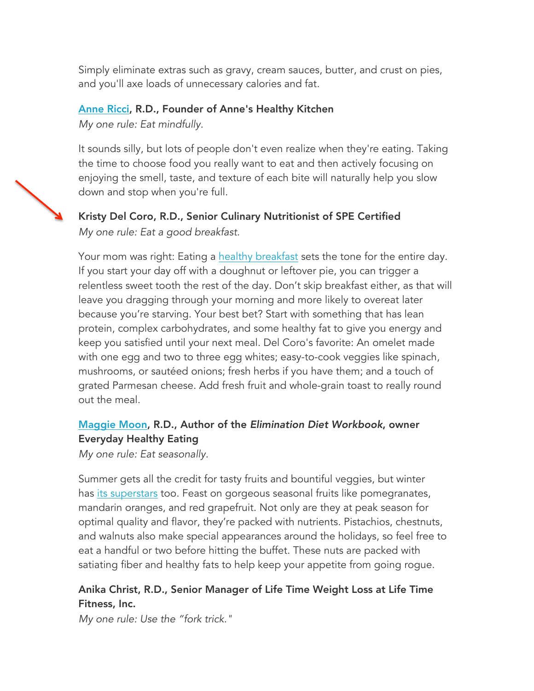Simply eliminate extras such as gravy, cream sauces, butter, and crust on pies, and you'll axe loads of unnecessary calories and fat.

## Anne Ricci, R.D., Founder of Anne's Healthy Kitchen

*My one rule: Eat mindfully.*

It sounds silly, but lots of people don't even realize when they're eating. Taking the time to choose food you really want to eat and then actively focusing on enjoying the smell, taste, and texture of each bite will naturally help you slow down and stop when you're full.

# Kristy Del Coro, R.D., Senior Culinary Nutritionist of SPE Certified *My one rule: Eat a good breakfast.*

Your mom was right: Eating a healthy breakfast sets the tone for the entire day. If you start your day off with a doughnut or leftover pie, you can trigger a relentless sweet tooth the rest of the day. Don't skip breakfast either, as that will leave you dragging through your morning and more likely to overeat later because you're starving. Your best bet? Start with something that has lean protein, complex carbohydrates, and some healthy fat to give you energy and keep you satisfied until your next meal. Del Coro's favorite: An omelet made with one egg and two to three egg whites; easy-to-cook veggies like spinach, mushrooms, or sautéed onions; fresh herbs if you have them; and a touch of grated Parmesan cheese. Add fresh fruit and whole-grain toast to really round out the meal.

## Maggie Moon, R.D., Author of the *Elimination Diet Workbook*, owner Everyday Healthy Eating

*My one rule: Eat seasonally.*

Summer gets all the credit for tasty fruits and bountiful veggies, but winter has its superstars too. Feast on gorgeous seasonal fruits like pomegranates, mandarin oranges, and red grapefruit. Not only are they at peak season for optimal quality and flavor, they're packed with nutrients. Pistachios, chestnuts, and walnuts also make special appearances around the holidays, so feel free to eat a handful or two before hitting the buffet. These nuts are packed with satiating fiber and healthy fats to help keep your appetite from going rogue.

# Anika Christ, R.D., Senior Manager of Life Time Weight Loss at Life Time Fitness, Inc.

*My one rule: Use the "fork trick."*